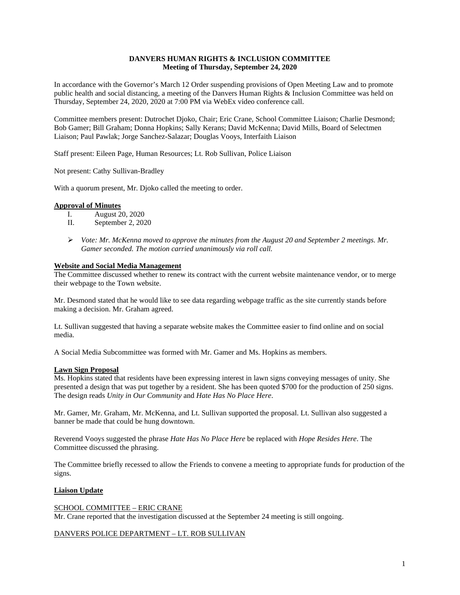# **DANVERS HUMAN RIGHTS & INCLUSION COMMITTEE Meeting of Thursday, September 24, 2020**

In accordance with the Governor's March 12 Order suspending provisions of Open Meeting Law and to promote public health and social distancing, a meeting of the Danvers Human Rights & Inclusion Committee was held on Thursday, September 24, 2020, 2020 at 7:00 PM via WebEx video conference call.

Committee members present: Dutrochet Djoko, Chair; Eric Crane, School Committee Liaison; Charlie Desmond; Bob Gamer; Bill Graham; Donna Hopkins; Sally Kerans; David McKenna; David Mills, Board of Selectmen Liaison; Paul Pawlak; Jorge Sanchez-Salazar; Douglas Vooys, Interfaith Liaison

Staff present: Eileen Page, Human Resources; Lt. Rob Sullivan, Police Liaison

Not present: Cathy Sullivan-Bradley

With a quorum present, Mr. Djoko called the meeting to order.

### **Approval of Minutes**

- I. August 20, 2020
- II. September 2, 2020
- *Vote: Mr. McKenna moved to approve the minutes from the August 20 and September 2 meetings. Mr. Gamer seconded. The motion carried unanimously via roll call.*

# **Website and Social Media Management**

The Committee discussed whether to renew its contract with the current website maintenance vendor, or to merge their webpage to the Town website.

Mr. Desmond stated that he would like to see data regarding webpage traffic as the site currently stands before making a decision. Mr. Graham agreed.

Lt. Sullivan suggested that having a separate website makes the Committee easier to find online and on social media.

A Social Media Subcommittee was formed with Mr. Gamer and Ms. Hopkins as members.

### **Lawn Sign Proposal**

Ms. Hopkins stated that residents have been expressing interest in lawn signs conveying messages of unity. She presented a design that was put together by a resident. She has been quoted \$700 for the production of 250 signs. The design reads *Unity in Our Community* and *Hate Has No Place Here*.

Mr. Gamer, Mr. Graham, Mr. McKenna, and Lt. Sullivan supported the proposal. Lt. Sullivan also suggested a banner be made that could be hung downtown.

Reverend Vooys suggested the phrase *Hate Has No Place Here* be replaced with *Hope Resides Here*. The Committee discussed the phrasing.

The Committee briefly recessed to allow the Friends to convene a meeting to appropriate funds for production of the signs.

### **Liaison Update**

### SCHOOL COMMITTEE – ERIC CRANE

Mr. Crane reported that the investigation discussed at the September 24 meeting is still ongoing.

### DANVERS POLICE DEPARTMENT – LT. ROB SULLIVAN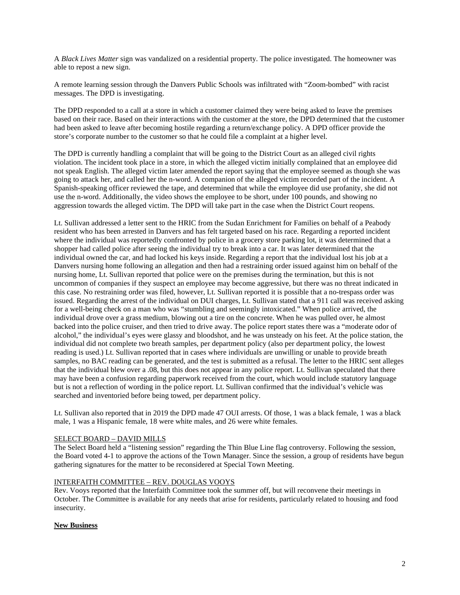A *Black Lives Matter* sign was vandalized on a residential property. The police investigated. The homeowner was able to repost a new sign.

A remote learning session through the Danvers Public Schools was infiltrated with "Zoom-bombed" with racist messages. The DPD is investigating.

The DPD responded to a call at a store in which a customer claimed they were being asked to leave the premises based on their race. Based on their interactions with the customer at the store, the DPD determined that the customer had been asked to leave after becoming hostile regarding a return/exchange policy. A DPD officer provide the store's corporate number to the customer so that he could file a complaint at a higher level.

The DPD is currently handling a complaint that will be going to the District Court as an alleged civil rights violation. The incident took place in a store, in which the alleged victim initially complained that an employee did not speak English. The alleged victim later amended the report saying that the employee seemed as though she was going to attack her, and called her the n-word. A companion of the alleged victim recorded part of the incident. A Spanish-speaking officer reviewed the tape, and determined that while the employee did use profanity, she did not use the n-word. Additionally, the video shows the employee to be short, under 100 pounds, and showing no aggression towards the alleged victim. The DPD will take part in the case when the District Court reopens.

Lt. Sullivan addressed a letter sent to the HRIC from the Sudan Enrichment for Families on behalf of a Peabody resident who has been arrested in Danvers and has felt targeted based on his race. Regarding a reported incident where the individual was reportedly confronted by police in a grocery store parking lot, it was determined that a shopper had called police after seeing the individual try to break into a car. It was later determined that the individual owned the car, and had locked his keys inside. Regarding a report that the individual lost his job at a Danvers nursing home following an allegation and then had a restraining order issued against him on behalf of the nursing home, Lt. Sullivan reported that police were on the premises during the termination, but this is not uncommon of companies if they suspect an employee may become aggressive, but there was no threat indicated in this case. No restraining order was filed, however, Lt. Sullivan reported it is possible that a no-trespass order was issued. Regarding the arrest of the individual on DUI charges, Lt. Sullivan stated that a 911 call was received asking for a well-being check on a man who was "stumbling and seemingly intoxicated." When police arrived, the individual drove over a grass medium, blowing out a tire on the concrete. When he was pulled over, he almost backed into the police cruiser, and then tried to drive away. The police report states there was a "moderate odor of alcohol," the individual's eyes were glassy and bloodshot, and he was unsteady on his feet. At the police station, the individual did not complete two breath samples, per department policy (also per department policy, the lowest reading is used.) Lt. Sullivan reported that in cases where individuals are unwilling or unable to provide breath samples, no BAC reading can be generated, and the test is submitted as a refusal. The letter to the HRIC sent alleges that the individual blew over a .08, but this does not appear in any police report. Lt. Sullivan speculated that there may have been a confusion regarding paperwork received from the court, which would include statutory language but is not a reflection of wording in the police report. Lt. Sullivan confirmed that the individual's vehicle was searched and inventoried before being towed, per department policy.

Lt. Sullivan also reported that in 2019 the DPD made 47 OUI arrests. Of those, 1 was a black female, 1 was a black male, 1 was a Hispanic female, 18 were white males, and 26 were white females.

### SELECT BOARD – DAVID MILLS

The Select Board held a "listening session" regarding the Thin Blue Line flag controversy. Following the session, the Board voted 4-1 to approve the actions of the Town Manager. Since the session, a group of residents have begun gathering signatures for the matter to be reconsidered at Special Town Meeting.

### INTERFAITH COMMITTEE – REV. DOUGLAS VOOYS

Rev. Vooys reported that the Interfaith Committee took the summer off, but will reconvene their meetings in October. The Committee is available for any needs that arise for residents, particularly related to housing and food insecurity.

### **New Business**